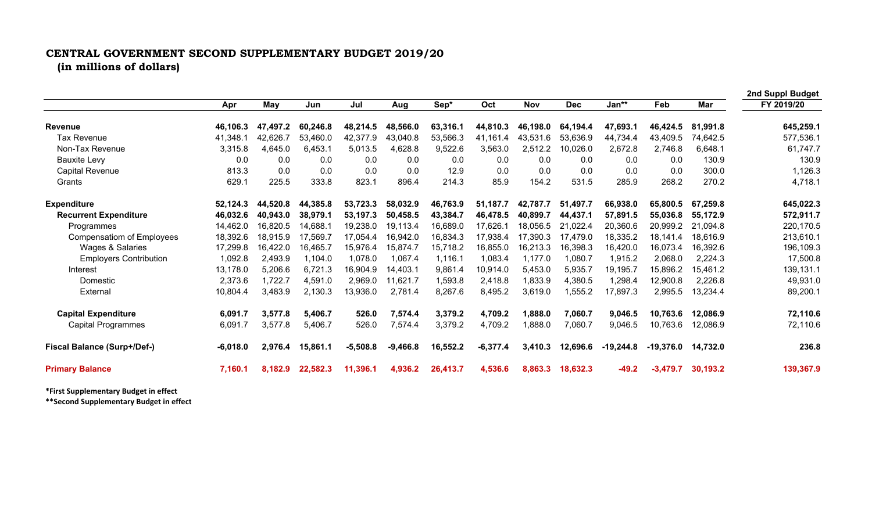## **CENTRAL GOVERNMENT SECOND SUPPLEMENTARY BUDGET 2019/20 (in millions of dollars)**

|                                    |            |          |          |            |            |          |            |            |            |             |             |          | 2nd Suppl Budget |
|------------------------------------|------------|----------|----------|------------|------------|----------|------------|------------|------------|-------------|-------------|----------|------------------|
|                                    | Apr        | May      | Jun      | Jul        | Aug        | Sep*     | Oct        | <b>Nov</b> | <b>Dec</b> | Jan**       | Feb         | Mar      | FY 2019/20       |
| <b>Revenue</b>                     | 46,106.3   | 47,497.2 | 60,246.8 | 48,214.5   | 48,566.0   | 63,316.1 | 44,810.3   | 46,198.0   | 64,194.4   | 47,693.1    | 46,424.5    | 81,991.8 | 645,259.1        |
| <b>Tax Revenue</b>                 | 41,348.1   | 42,626.7 | 53,460.0 | 42,377.9   | 43,040.8   | 53,566.3 | 41,161.4   | 43,531.6   | 53,636.9   | 44,734.4    | 43,409.5    | 74,642.5 | 577,536.1        |
| Non-Tax Revenue                    | 3,315.8    | 4,645.0  | 6,453.1  | 5,013.5    | 4,628.8    | 9,522.6  | 3,563.0    | 2,512.2    | 10,026.0   | 2,672.8     | 2,746.8     | 6,648.1  | 61,747.7         |
| <b>Bauxite Levy</b>                | 0.0        | 0.0      | 0.0      | 0.0        | 0.0        | 0.0      | 0.0        | 0.0        | 0.0        | 0.0         | 0.0         | 130.9    | 130.9            |
| <b>Capital Revenue</b>             | 813.3      | 0.0      | 0.0      | 0.0        | 0.0        | 12.9     | 0.0        | 0.0        | 0.0        | 0.0         | 0.0         | 300.0    | 1,126.3          |
| Grants                             | 629.1      | 225.5    | 333.8    | 823.1      | 896.4      | 214.3    | 85.9       | 154.2      | 531.5      | 285.9       | 268.2       | 270.2    | 4,718.1          |
| <b>Expenditure</b>                 | 52,124.3   | 44,520.8 | 44,385.8 | 53,723.3   | 58,032.9   | 46,763.9 | 51,187.7   | 42,787.7   | 51,497.7   | 66,938.0    | 65,800.5    | 67,259.8 | 645,022.3        |
| <b>Recurrent Expenditure</b>       | 46,032.6   | 40,943.0 | 38,979.1 | 53,197.3   | 50,458.5   | 43,384.7 | 46,478.5   | 40,899.7   | 44,437.1   | 57,891.5    | 55,036.8    | 55,172.9 | 572,911.7        |
| Programmes                         | 14,462.0   | 16,820.5 | 14,688.1 | 19,238.0   | 19.113.4   | 16,689.0 | 17,626.1   | 18.056.5   | 21,022.4   | 20,360.6    | 20,999.2    | 21,094.8 | 220,170.5        |
| <b>Compensatiom of Employees</b>   | 18,392.6   | 18,915.9 | 17,569.7 | 17,054.4   | 16,942.0   | 16,834.3 | 17,938.4   | 17,390.3   | 17.479.0   | 18,335.2    | 18,141.4    | 18,616.9 | 213,610.1        |
| Wages & Salaries                   | 17,299.8   | 16,422.0 | 16,465.7 | 15,976.4   | 15,874.7   | 15,718.2 | 16,855.0   | 16,213.3   | 16,398.3   | 16,420.0    | 16,073.4    | 16,392.6 | 196,109.3        |
| <b>Employers Contribution</b>      | 1,092.8    | 2,493.9  | 1,104.0  | 1,078.0    | 1,067.4    | 1,116.1  | 1,083.4    | 1,177.0    | 1,080.7    | 1,915.2     | 2,068.0     | 2,224.3  | 17,500.8         |
| Interest                           | 13,178.0   | 5,206.6  | 6,721.3  | 16,904.9   | 14,403.1   | 9,861.4  | 10,914.0   | 5,453.0    | 5,935.7    | 19,195.7    | 15,896.2    | 15,461.2 | 139,131.1        |
| Domestic                           | 2,373.6    | 1,722.7  | 4,591.0  | 2,969.0    | 11,621.7   | 1,593.8  | 2,418.8    | 1,833.9    | 4,380.5    | 1,298.4     | 12,900.8    | 2,226.8  | 49,931.0         |
| External                           | 10,804.4   | 3,483.9  | 2,130.3  | 13,936.0   | 2,781.4    | 8,267.6  | 8,495.2    | 3,619.0    | 1,555.2    | 17,897.3    | 2,995.5     | 13,234.4 | 89,200.1         |
| <b>Capital Expenditure</b>         | 6.091.7    | 3,577.8  | 5,406.7  | 526.0      | 7,574.4    | 3,379.2  | 4,709.2    | ,888.0     | 7,060.7    | 9,046.5     | 10,763.6    | 12,086.9 | 72,110.6         |
| <b>Capital Programmes</b>          | 6,091.7    | 3,577.8  | 5,406.7  | 526.0      | 7,574.4    | 3,379.2  | 4,709.2    | ,888.0     | 7,060.7    | 9,046.5     | 10,763.6    | 12,086.9 | 72,110.6         |
| <b>Fiscal Balance (Surp+/Def-)</b> | $-6,018.0$ | 2,976.4  | 15,861.1 | $-5,508.8$ | $-9,466.8$ | 16,552.2 | $-6,377.4$ | 3,410.3    | 12,696.6   | $-19,244.8$ | $-19,376.0$ | 14.732.0 | 236.8            |
| <b>Primary Balance</b>             | 7,160.1    | 8.182.9  | 22,582.3 | 11,396.1   | 4,936.2    | 26,413.7 | 4,536.6    | 8.863.3    | 18,632.3   | $-49.2$     | $-3.479.7$  | 30,193.2 | 139,367.9        |

**\*First Supplementary Budget in effect**

**\*\*Second Supplementary Budget in effect**